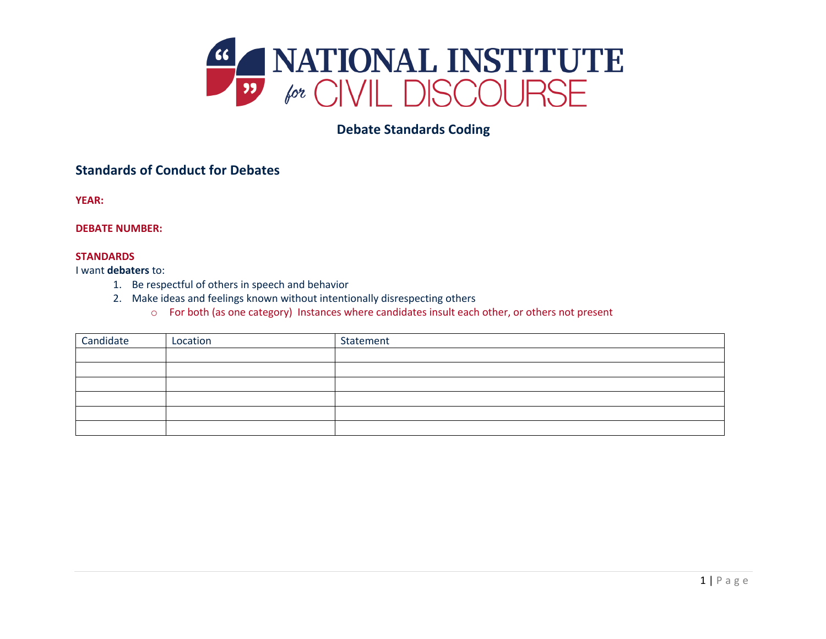

# **Debate Standards Coding**

## **Standards of Conduct for Debates**

**YEAR:**

### **DEBATE NUMBER:**

#### **STANDARDS**

I want **debaters** to:

- 1. Be respectful of others in speech and behavior
- 2. Make ideas and feelings known without intentionally disrespecting others
	- o For both (as one category) Instances where candidates insult each other, or others not present

| Candidate | Location | Statement |
|-----------|----------|-----------|
|           |          |           |
|           |          |           |
|           |          |           |
|           |          |           |
|           |          |           |
|           |          |           |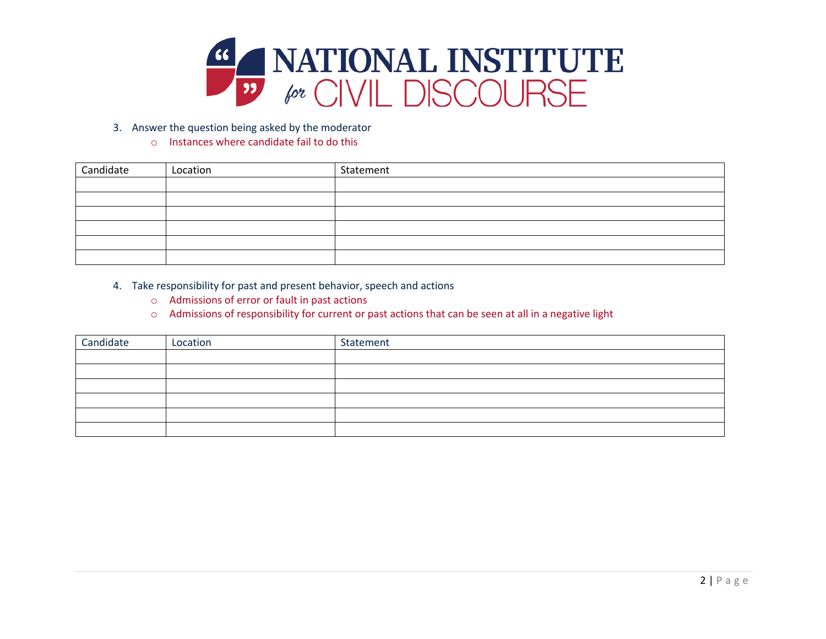

- 3. Answer the question being asked by the moderator
	- o Instances where candidate fail to do this

| Candidate | Location | Statement |
|-----------|----------|-----------|
|           |          |           |
|           |          |           |
|           |          |           |
|           |          |           |
|           |          |           |
|           |          |           |

- 4. Take responsibility for past and present behavior, speech and actions
	- o Admissions of error or fault in past actions
	- o Admissions of responsibility for current or past actions that can be seen at all in a negative light

| Candidate | Location | Statement |
|-----------|----------|-----------|
|           |          |           |
|           |          |           |
|           |          |           |
|           |          |           |
|           |          |           |
|           |          |           |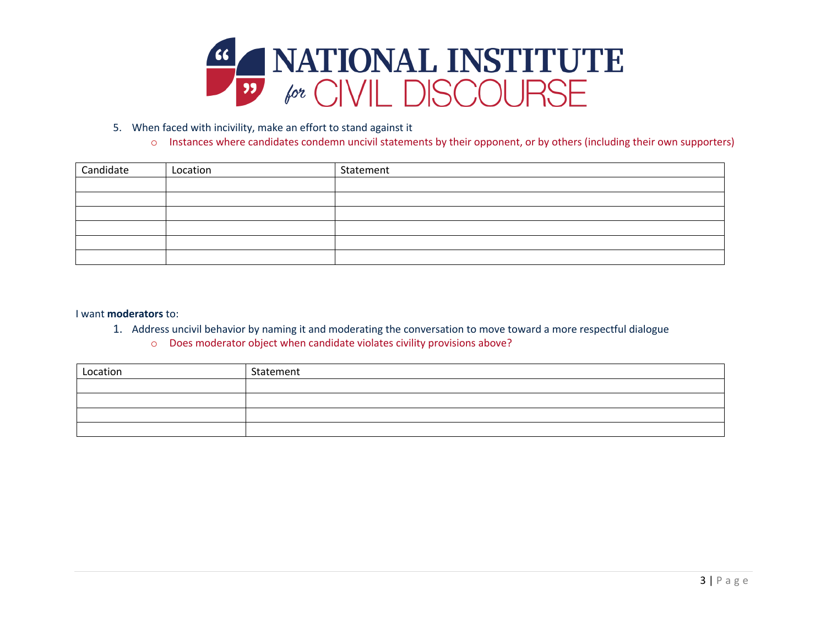

- 5. When faced with incivility, make an effort to stand against it
	- o Instances where candidates condemn uncivil statements by their opponent, or by others (including their own supporters)

| Candidate | Location | Statement |
|-----------|----------|-----------|
|           |          |           |
|           |          |           |
|           |          |           |
|           |          |           |
|           |          |           |
|           |          |           |

#### I want **moderators** to:

- 1. Address uncivil behavior by naming it and moderating the conversation to move toward a more respectful dialogue
	- o Does moderator object when candidate violates civility provisions above?

| Location | Statement |
|----------|-----------|
|          |           |
|          |           |
|          |           |
|          |           |